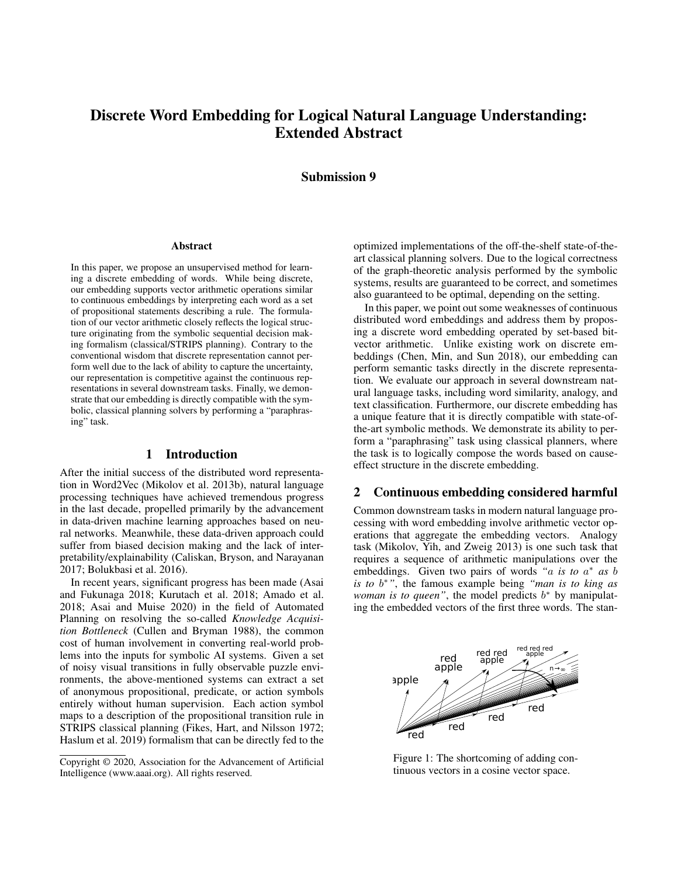# Discrete Word Embedding for Logical Natural Language Understanding: Extended Abstract

# Submission 9

#### Abstract

In this paper, we propose an unsupervised method for learning a discrete embedding of words. While being discrete, our embedding supports vector arithmetic operations similar to continuous embeddings by interpreting each word as a set of propositional statements describing a rule. The formulation of our vector arithmetic closely reflects the logical structure originating from the symbolic sequential decision making formalism (classical/STRIPS planning). Contrary to the conventional wisdom that discrete representation cannot perform well due to the lack of ability to capture the uncertainty, our representation is competitive against the continuous representations in several downstream tasks. Finally, we demonstrate that our embedding is directly compatible with the symbolic, classical planning solvers by performing a "paraphrasing" task.

## 1 Introduction

After the initial success of the distributed word representation in Word2Vec (Mikolov et al. 2013b), natural language processing techniques have achieved tremendous progress in the last decade, propelled primarily by the advancement in data-driven machine learning approaches based on neural networks. Meanwhile, these data-driven approach could suffer from biased decision making and the lack of interpretability/explainability (Caliskan, Bryson, and Narayanan 2017; Bolukbasi et al. 2016).

In recent years, significant progress has been made (Asai and Fukunaga 2018; Kurutach et al. 2018; Amado et al. 2018; Asai and Muise 2020) in the field of Automated Planning on resolving the so-called *Knowledge Acquisition Bottleneck* (Cullen and Bryman 1988), the common cost of human involvement in converting real-world problems into the inputs for symbolic AI systems. Given a set of noisy visual transitions in fully observable puzzle environments, the above-mentioned systems can extract a set of anonymous propositional, predicate, or action symbols entirely without human supervision. Each action symbol maps to a description of the propositional transition rule in STRIPS classical planning (Fikes, Hart, and Nilsson 1972; Haslum et al. 2019) formalism that can be directly fed to the

optimized implementations of the off-the-shelf state-of-theart classical planning solvers. Due to the logical correctness of the graph-theoretic analysis performed by the symbolic systems, results are guaranteed to be correct, and sometimes also guaranteed to be optimal, depending on the setting.

In this paper, we point out some weaknesses of continuous distributed word embeddings and address them by proposing a discrete word embedding operated by set-based bitvector arithmetic. Unlike existing work on discrete embeddings (Chen, Min, and Sun 2018), our embedding can perform semantic tasks directly in the discrete representation. We evaluate our approach in several downstream natural language tasks, including word similarity, analogy, and text classification. Furthermore, our discrete embedding has a unique feature that it is directly compatible with state-ofthe-art symbolic methods. We demonstrate its ability to perform a "paraphrasing" task using classical planners, where the task is to logically compose the words based on causeeffect structure in the discrete embedding.

# 2 Continuous embedding considered harmful

Common downstream tasks in modern natural language processing with word embedding involve arithmetic vector operations that aggregate the embedding vectors. Analogy task (Mikolov, Yih, and Zweig 2013) is one such task that requires a sequence of arithmetic manipulations over the embeddings. Given two pairs of words *"*a *is to* a <sup>∗</sup> *as* b *is to* b <sup>∗</sup>*"*, the famous example being *"man is to king as woman is to queen*", the model predicts  $b^*$  by manipulating the embedded vectors of the first three words. The stan-



Figure 1: The shortcoming of adding continuous vectors in a cosine vector space.

Copyright © 2020, Association for the Advancement of Artificial Intelligence (www.aaai.org). All rights reserved.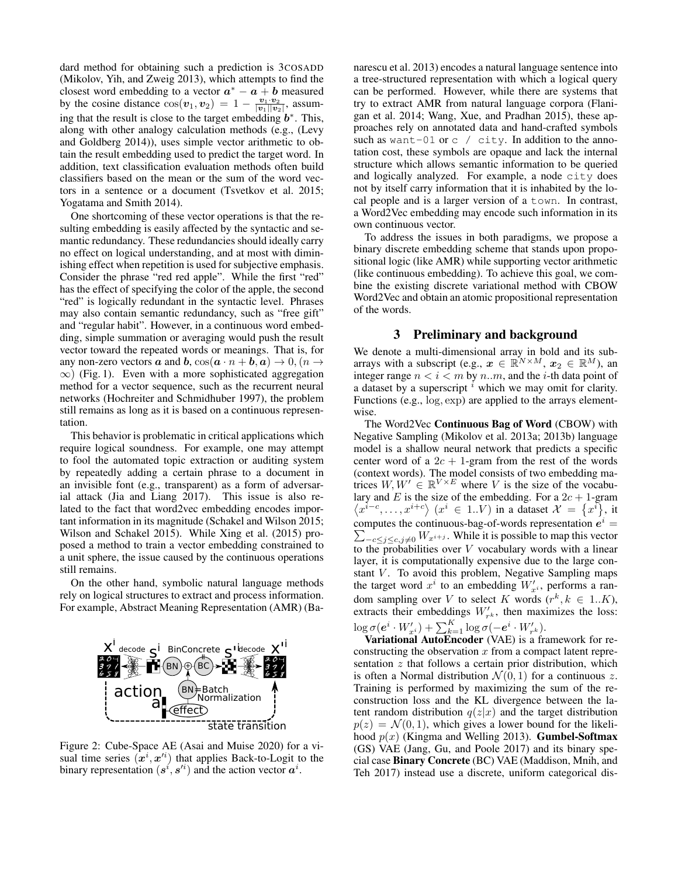dard method for obtaining such a prediction is 3COSADD (Mikolov, Yih, and Zweig 2013), which attempts to find the closest word embedding to a vector  $a^* - a + b$  measured by the cosine distance  $\cos(v_1, v_2) = 1 - \frac{v_1 \cdot v_2}{|v_1||v_2|}$ , assuming that the result is close to the target embedding  $b^*$ . This, along with other analogy calculation methods (e.g., (Levy and Goldberg 2014)), uses simple vector arithmetic to obtain the result embedding used to predict the target word. In addition, text classification evaluation methods often build classifiers based on the mean or the sum of the word vectors in a sentence or a document (Tsvetkov et al. 2015; Yogatama and Smith 2014).

One shortcoming of these vector operations is that the resulting embedding is easily affected by the syntactic and semantic redundancy. These redundancies should ideally carry no effect on logical understanding, and at most with diminishing effect when repetition is used for subjective emphasis. Consider the phrase "red red apple". While the first "red" has the effect of specifying the color of the apple, the second "red" is logically redundant in the syntactic level. Phrases may also contain semantic redundancy, such as "free gift" and "regular habit". However, in a continuous word embedding, simple summation or averaging would push the result vector toward the repeated words or meanings. That is, for any non-zero vectors  $\boldsymbol{a}$  and  $\boldsymbol{b}$ ,  $\cos(\boldsymbol{a} \cdot \boldsymbol{n} + \boldsymbol{b}, \boldsymbol{a}) \rightarrow 0$ ,  $(\boldsymbol{n} \rightarrow \boldsymbol{n})$  $\infty$ ) (Fig. 1). Even with a more sophisticated aggregation method for a vector sequence, such as the recurrent neural networks (Hochreiter and Schmidhuber 1997), the problem still remains as long as it is based on a continuous representation.

This behavior is problematic in critical applications which require logical soundness. For example, one may attempt to fool the automated topic extraction or auditing system by repeatedly adding a certain phrase to a document in an invisible font (e.g., transparent) as a form of adversarial attack (Jia and Liang 2017). This issue is also related to the fact that word2vec embedding encodes important information in its magnitude (Schakel and Wilson 2015; Wilson and Schakel 2015). While Xing et al. (2015) proposed a method to train a vector embedding constrained to a unit sphere, the issue caused by the continuous operations still remains.

On the other hand, symbolic natural language methods rely on logical structures to extract and process information. For example, Abstract Meaning Representation (AMR) (Ba-



Figure 2: Cube-Space AE (Asai and Muise 2020) for a visual time series  $(\hat{x}^i, x'^i)$  that applies Back-to-Logit to the binary representation  $(s^i, s'^i)$  and the action vector  $a^i$ .

narescu et al. 2013) encodes a natural language sentence into a tree-structured representation with which a logical query can be performed. However, while there are systems that try to extract AMR from natural language corpora (Flanigan et al. 2014; Wang, Xue, and Pradhan 2015), these approaches rely on annotated data and hand-crafted symbols such as want-01 or  $c$  / city. In addition to the annotation cost, these symbols are opaque and lack the internal structure which allows semantic information to be queried and logically analyzed. For example, a node city does not by itself carry information that it is inhabited by the local people and is a larger version of a town. In contrast, a Word2Vec embedding may encode such information in its own continuous vector.

To address the issues in both paradigms, we propose a binary discrete embedding scheme that stands upon propositional logic (like AMR) while supporting vector arithmetic (like continuous embedding). To achieve this goal, we combine the existing discrete variational method with CBOW Word2Vec and obtain an atomic propositional representation of the words.

## 3 Preliminary and background

We denote a multi-dimensional array in bold and its subarrays with a subscript (e.g.,  $x \in \mathbb{R}^{N \times M}$ ,  $x_2 \in \mathbb{R}^M$ ), an integer range  $n < i < m$  by n..m, and the *i*-th data point of a dataset by a superscript  $<sup>i</sup>$  which we may omit for clarity.</sup> Functions (e.g., log, exp) are applied to the arrays elementwise.

The Word2Vec Continuous Bag of Word (CBOW) with Negative Sampling (Mikolov et al. 2013a; 2013b) language model is a shallow neural network that predicts a specific center word of a  $2c + 1$ -gram from the rest of the words (context words). The model consists of two embedding matrices  $W, W' \in \mathbb{R}^{V \times E}$  where V is the size of the vocabulary and E is the size of the embedding. For a  $2c + 1$ -gram  $\langle x^{i-c}, \ldots, x^{i+c} \rangle$   $(x^i \in 1..V)$  in a dataset  $\mathcal{X} = \{x^i\},\$ it computes the continuous-bag-of-words representation  $e^{i}$  =  $\sum_{-c \leq j \leq c, j \neq 0} W_{x^{i+j}}$ . While it is possible to map this vector to the probabilities over  $V$  vocabulary words with a linear layer, it is computationally expensive due to the large constant  $V$ . To avoid this problem, Negative Sampling maps the target word  $x^i$  to an embedding  $W'_{x^i}$ , performs a random sampling over V to select K words  $(r^k, k \in 1..K)$ , extracts their embeddings  $W'_{r^k}$ , then maximizes the loss:  $\log \sigma(\boldsymbol{e}^i \cdot W_{x^i}' ) + \sum_{k=1}^K \log \sigma(-\boldsymbol{e}^i \cdot W_{r^k}').$ 

Variational AutoEncoder (VAE) is a framework for reconstructing the observation  $x$  from a compact latent representation  $z$  that follows a certain prior distribution, which is often a Normal distribution  $\mathcal{N}(0, 1)$  for a continuous z. Training is performed by maximizing the sum of the reconstruction loss and the KL divergence between the latent random distribution  $q(z|x)$  and the target distribution  $p(z) = \mathcal{N}(0, 1)$ , which gives a lower bound for the likelihood  $p(x)$  (Kingma and Welling 2013). **Gumbel-Softmax** (GS) VAE (Jang, Gu, and Poole 2017) and its binary special case Binary Concrete (BC) VAE (Maddison, Mnih, and Teh 2017) instead use a discrete, uniform categorical dis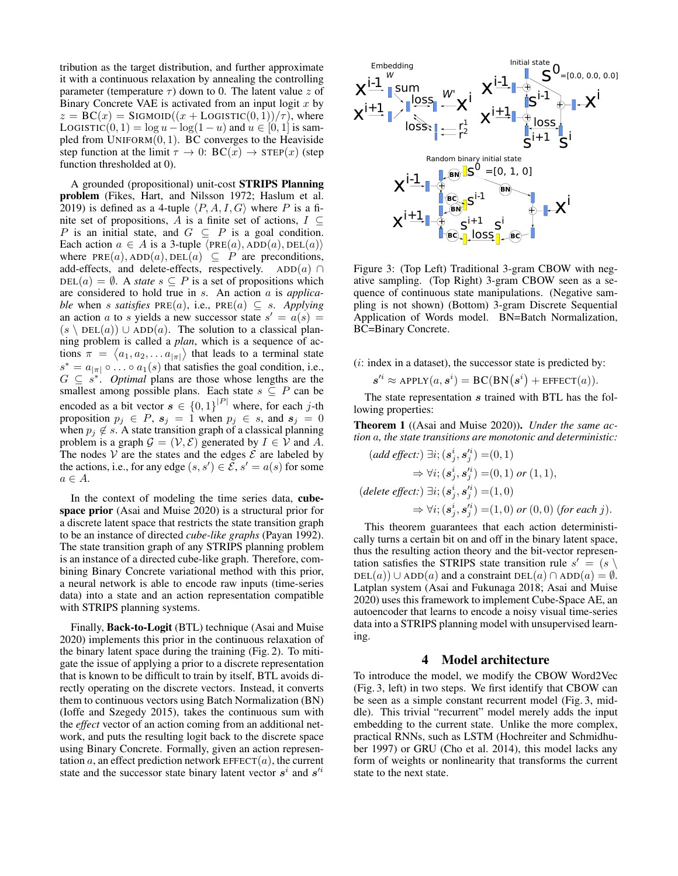tribution as the target distribution, and further approximate it with a continuous relaxation by annealing the controlling parameter (temperature  $\tau$ ) down to 0. The latent value z of Binary Concrete VAE is activated from an input logit  $x$  by  $z = BC(x) = SIGMOD((x + LOGISTIC(0, 1))/\tau)$ , where LOGISTIC(0, 1) = log  $u - log(1 - u)$  and  $u \in [0, 1]$  is sampled from  $UNIFORM(0, 1)$ . BC converges to the Heaviside step function at the limit  $\tau \to 0$ :  $BC(x) \to STEP(x)$  (step function thresholded at 0).

A grounded (propositional) unit-cost STRIPS Planning problem (Fikes, Hart, and Nilsson 1972; Haslum et al. 2019) is defined as a 4-tuple  $\langle P, A, I, G \rangle$  where P is a finite set of propositions, A is a finite set of actions,  $I \subseteq$ P is an initial state, and  $G \subseteq P$  is a goal condition. Each action  $a \in A$  is a 3-tuple  $\langle PRE(a), ADD(a), DEL(a) \rangle$ where  $PRE(a)$ ,  $ADD(a)$ ,  $DEL(a) \subseteq P$  are preconditions, add-effects, and delete-effects, respectively. ADD(a) ∩  $DEL(a) = \emptyset$ . A *state*  $s \subseteq P$  is a set of propositions which are considered to hold true in s. An action a is *applicable* when s *satisfies*  $PRE(a)$ , i.e.,  $PRE(a) \subseteq s$ . *Applying* an action a to s yields a new successor state  $s' = a(s) =$  $(s \setminus \text{DEL}(a)) \cup \text{ADD}(a)$ . The solution to a classical planning problem is called a *plan*, which is a sequence of actions  $\pi = \langle a_1, a_2, \dots a_{|\pi|} \rangle$  that leads to a terminal state  $s^* = a_{|\pi|} \circ \ldots \circ a_1(s)$  that satisfies the goal condition, i.e.,  $G \subseteq s^*$ . *Optimal* plans are those whose lengths are the smallest among possible plans. Each state  $s \subseteq P$  can be encoded as a bit vector  $s \in \{0,1\}^{|P|}$  where, for each j-th proposition  $p_j \in P$ ,  $s_j = 1$  when  $p_j \in s$ , and  $s_j = 0$ when  $p_j \notin s$ . A state transition graph of a classical planning problem is a graph  $\mathcal{G} = (\mathcal{V}, \mathcal{E})$  generated by  $I \in \mathcal{V}$  and A. The nodes  $V$  are the states and the edges  $E$  are labeled by the actions, i.e., for any edge  $(s, s') \in \overline{S}$ ,  $s' = a(s)$  for some  $a \in A$ .

In the context of modeling the time series data, cubespace prior (Asai and Muise 2020) is a structural prior for a discrete latent space that restricts the state transition graph to be an instance of directed *cube-like graphs* (Payan 1992). The state transition graph of any STRIPS planning problem is an instance of a directed cube-like graph. Therefore, combining Binary Concrete variational method with this prior, a neural network is able to encode raw inputs (time-series data) into a state and an action representation compatible with STRIPS planning systems.

Finally, Back-to-Logit (BTL) technique (Asai and Muise 2020) implements this prior in the continuous relaxation of the binary latent space during the training (Fig. 2). To mitigate the issue of applying a prior to a discrete representation that is known to be difficult to train by itself, BTL avoids directly operating on the discrete vectors. Instead, it converts them to continuous vectors using Batch Normalization (BN) (Ioffe and Szegedy 2015), takes the continuous sum with the *effect* vector of an action coming from an additional network, and puts the resulting logit back to the discrete space using Binary Concrete. Formally, given an action representation a, an effect prediction network  $EFECT(a)$ , the current state and the successor state binary latent vector  $s^i$  and  $s'^i$ 



Figure 3: (Top Left) Traditional 3-gram CBOW with negative sampling. (Top Right) 3-gram CBOW seen as a sequence of continuous state manipulations. (Negative sampling is not shown) (Bottom) 3-gram Discrete Sequential Application of Words model. BN=Batch Normalization, BC=Binary Concrete.

 $(i: index in a dataset)$ , the successor state is predicted by:

$$
s^{\prime i} \approx \text{APPLY}(a, s^i) = \text{BC}(\text{BN}(s^i) + \text{EFFECT}(a)).
$$

The state representation s trained with BTL has the following properties:

Theorem 1 ((Asai and Muise 2020)). *Under the same action* a*, the state transitions are monotonic and deterministic:*

$$
(add\,effect:)\,\exists i;\,(\boldsymbol{s}_j^i,\boldsymbol{s}_j'^i)=(0,1)\\ \Rightarrow \forall i;\,(\boldsymbol{s}_j^i,\boldsymbol{s}_j'^i)=(0,1)\,\,or\,(1,1),\\ (delete\,effect:)\,\,\exists i;\,(\boldsymbol{s}_j^i,\boldsymbol{s}_j'^i)=(1,0)\\ \Rightarrow \forall i;\,(\boldsymbol{s}_j^i,\boldsymbol{s}_j'^i)=(1,0)\,\,or\,(0,0)\,\,(for\,each\,j).
$$

This theorem guarantees that each action deterministically turns a certain bit on and off in the binary latent space, thus the resulting action theory and the bit-vector representation satisfies the STRIPS state transition rule  $s' = (s \setminus s)$  $DEL(a)) \cup ADD(a)$  and a constraint  $DEL(a) \cap ADD(a) = \emptyset$ . Latplan system (Asai and Fukunaga 2018; Asai and Muise 2020) uses this framework to implement Cube-Space AE, an autoencoder that learns to encode a noisy visual time-series data into a STRIPS planning model with unsupervised learning.

## 4 Model architecture

To introduce the model, we modify the CBOW Word2Vec (Fig. 3, left) in two steps. We first identify that CBOW can be seen as a simple constant recurrent model (Fig. 3, middle). This trivial "recurrent" model merely adds the input embedding to the current state. Unlike the more complex, practical RNNs, such as LSTM (Hochreiter and Schmidhuber 1997) or GRU (Cho et al. 2014), this model lacks any form of weights or nonlinearity that transforms the current state to the next state.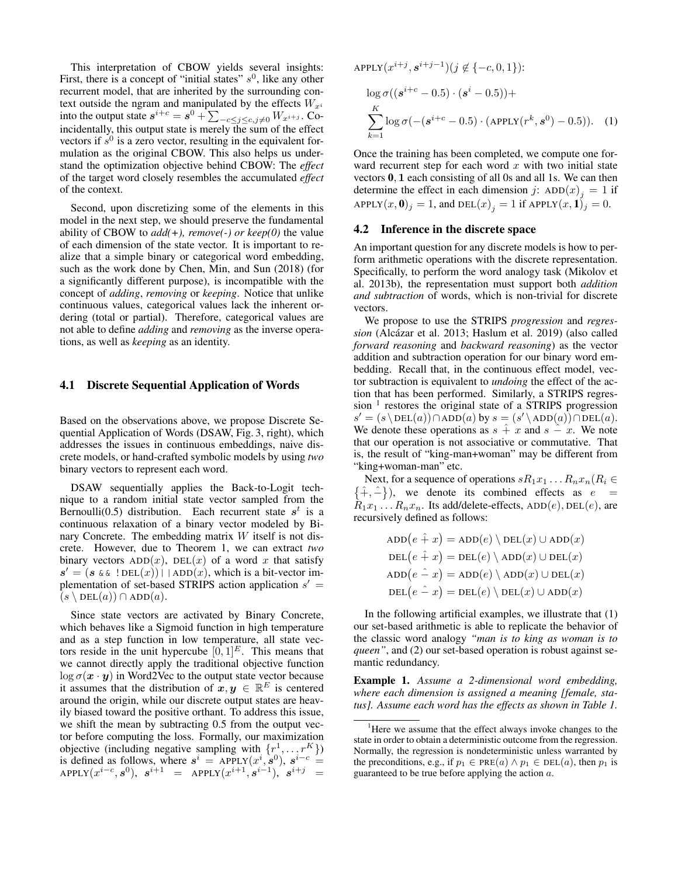This interpretation of CBOW yields several insights: First, there is a concept of "initial states"  $s^0$ , like any other recurrent model, that are inherited by the surrounding context outside the ngram and manipulated by the effects  ${\cal W}_{x^i}$ into the output state  $s^{i+c} = s^0 + \sum_{-c \le j \le c, j \ne 0} W_{x^{i+j}}$ . Coincidentally, this output state is merely the sum of the effect vectors if  $s^0$  is a zero vector, resulting in the equivalent formulation as the original CBOW. This also helps us understand the optimization objective behind CBOW: The *effect* of the target word closely resembles the accumulated *effect* of the context.

Second, upon discretizing some of the elements in this model in the next step, we should preserve the fundamental ability of CBOW to *add(+), remove(-) or keep(0)* the value of each dimension of the state vector. It is important to realize that a simple binary or categorical word embedding, such as the work done by Chen, Min, and Sun (2018) (for a significantly different purpose), is incompatible with the concept of *adding*, *removing* or *keeping*. Notice that unlike continuous values, categorical values lack the inherent ordering (total or partial). Therefore, categorical values are not able to define *adding* and *removing* as the inverse operations, as well as *keeping* as an identity.

### 4.1 Discrete Sequential Application of Words

Based on the observations above, we propose Discrete Sequential Application of Words (DSAW, Fig. 3, right), which addresses the issues in continuous embeddings, naive discrete models, or hand-crafted symbolic models by using *two* binary vectors to represent each word.

DSAW sequentially applies the Back-to-Logit technique to a random initial state vector sampled from the Bernoulli(0.5) distribution. Each recurrent state  $s^t$  is a continuous relaxation of a binary vector modeled by Binary Concrete. The embedding matrix  $W$  itself is not discrete. However, due to Theorem 1, we can extract *two* binary vectors  $ADD(x)$ ,  $DEL(x)$  of a word x that satisfy  $s' = (s \& \& !\, \text{DEL}(x)) | | \text{ADD}(x)$ , which is a bit-vector implementation of set-based STRIPS action application  $s' =$  $(s \setminus \text{DEL}(a)) \cap \text{ADD}(a).$ 

Since state vectors are activated by Binary Concrete, which behaves like a Sigmoid function in high temperature and as a step function in low temperature, all state vectors reside in the unit hypercube  $[0, 1]^E$ . This means that we cannot directly apply the traditional objective function  $\log \sigma(x \cdot y)$  in Word2Vec to the output state vector because it assumes that the distribution of  $x, y \in \mathbb{R}^E$  is centered around the origin, while our discrete output states are heavily biased toward the positive orthant. To address this issue, we shift the mean by subtracting 0.5 from the output vector before computing the loss. Formally, our maximization objective (including negative sampling with  $\{r^1, \ldots r^K\}$ ) is defined as follows, where  $s^i$  = APPLY $(x^i, s^0)$ ,  $s^{i-c}$  =  ${\tt APPLY}(x^{i-c},\boldsymbol{s}^0),\;\; \boldsymbol{s}^{i+1}\;\;=\;\;{\tt APPLY}(x^{i+1},\boldsymbol{s}^{i-1}),\;\; \boldsymbol{s}^{i+j}\;\;=\;\;$ 

$$
APPLY(x^{i+j}, s^{i+j-1})(j \notin \{-c, 0, 1\}):
$$
  
\n
$$
\log \sigma((s^{i+c} - 0.5) \cdot (s^i - 0.5)) +
$$
  
\n
$$
\sum_{k=1}^K \log \sigma(-(s^{i+c} - 0.5) \cdot (APPLY(r^k, s^0) - 0.5)).
$$
 (1)

Once the training has been completed, we compute one forward recurrent step for each word  $x$  with two initial state vectors 0, 1 each consisting of all 0s and all 1s. We can then determine the effect in each dimension j:  $ADD(x)_j = 1$  if APPLY $(x, 0)_j = 1$ , and  $\text{DEL}(x)_j = 1$  if  $\text{APPLY}(x, 1)_j = 0$ .

#### 4.2 Inference in the discrete space

An important question for any discrete models is how to perform arithmetic operations with the discrete representation. Specifically, to perform the word analogy task (Mikolov et al. 2013b), the representation must support both *addition and subtraction* of words, which is non-trivial for discrete vectors.

We propose to use the STRIPS *progression* and *regression* (Alcázar et al. 2013; Haslum et al. 2019) (also called *forward reasoning* and *backward reasoning*) as the vector addition and subtraction operation for our binary word embedding. Recall that, in the continuous effect model, vector subtraction is equivalent to *undoing* the effect of the action that has been performed. Similarly, a STRIPS regression<sup>1</sup> restores the original state of a STRIPS progression  $s' = (s \setminus \text{DEL}(a)) \cap \text{ADD}(a)$  by  $s = (s' \setminus \text{ADD}(a)) \cap \text{DEL}(a)$ . We denote these operations as  $s + x$  and  $s - x$ . We note that our operation is not associative or commutative. That is, the result of "king-man+woman" may be different from "king+woman-man" etc.

Next, for a sequence of operations  $sR_1x_1 \ldots R_nx_n (R_i \in$  $\{\hat{+}, \hat{-}\}\right)$ , we denote its combined effects as  $e =$  $R_1x_1...R_nx_n$ . Its add/delete-effects, ADD(e), DEL(e), are recursively defined as follows:

$$
ADD(e \hat{+} x) = ADD(e) \ \Delta DD(x) \ \cup ADD(x)
$$
\n
$$
DEL(e \hat{+} x) = DEL(e) \ \Delta DD(x) \cup DEL(x)
$$
\n
$$
ADD(e \hat{-} x) = ADD(e) \ \Delta DD(x) \cup DEL(x)
$$
\n
$$
DEL(e \hat{-} x) = DEL(e) \ \Delta DD(x) \ \cup ADD(x)
$$

In the following artificial examples, we illustrate that (1) our set-based arithmetic is able to replicate the behavior of the classic word analogy *"man is to king as woman is to queen"*, and (2) our set-based operation is robust against semantic redundancy.

Example 1. *Assume a 2-dimensional word embedding, where each dimension is assigned a meaning [female, status]. Assume each word has the effects as shown in Table 1.*

<sup>&</sup>lt;sup>1</sup>Here we assume that the effect always invoke changes to the state in order to obtain a deterministic outcome from the regression. Normally, the regression is nondeterministic unless warranted by the preconditions, e.g., if  $p_1 \in PRE(a) \wedge p_1 \in DEL(a)$ , then  $p_1$  is guaranteed to be true before applying the action  $a$ .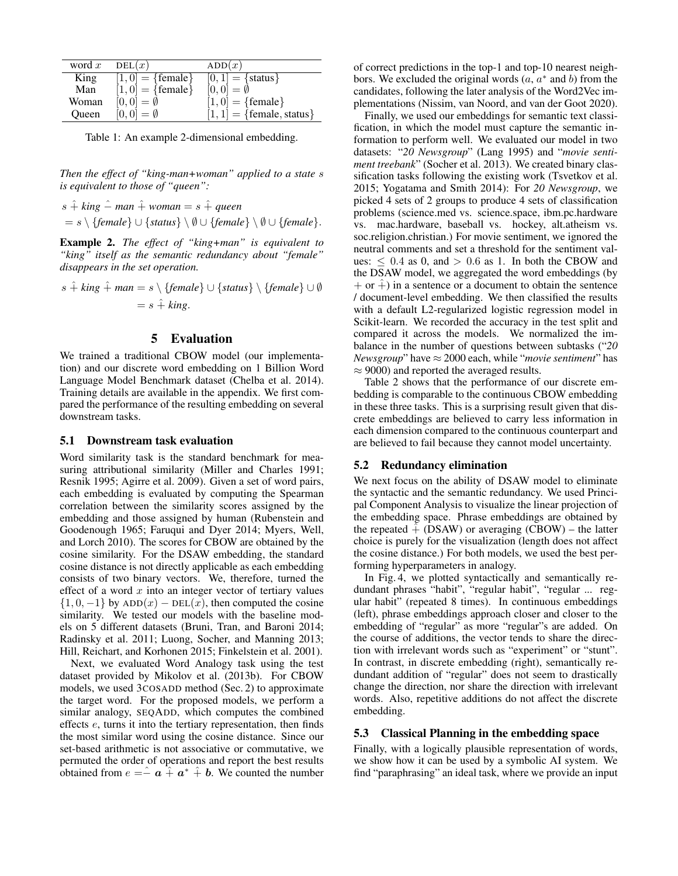| word $x$     | DEL(x)              | ADD(x)                      |
|--------------|---------------------|-----------------------------|
| King         | $[1,0] = {female}$  | $[0,1] = {status}$          |
| Man          | $[1,0] = {female}$  | $[0,0] = \emptyset$         |
| Woman        | $[0,0] = \emptyset$ | $[1,0] = {female}$          |
| <b>Oueen</b> | $[0,0] = \emptyset$ | $[1, 1] = {female, status}$ |

Table 1: An example 2-dimensional embedding.

*Then the effect of "king-man+woman" applied to a state* s *is equivalent to those of "queen":*

$$
s \hat{+} \text{ king } \hat{-} \text{ man } \hat{+} \text{ woman} = s \hat{+} \text{ queen}
$$
  
=  $s \setminus \{\text{female}\} \cup \{\text{status}\} \setminus \emptyset \cup \{\text{female}\} \setminus \emptyset \cup \{\text{female}\}.$ 

Example 2. *The effect of "king+man" is equivalent to "king" itself as the semantic redundancy about "female" disappears in the set operation.*

$$
s \hat{+} \text{ king } \hat{+} \text{ man} = s \setminus \{\text{female}\} \cup \{\text{status}\} \setminus \{\text{female}\} \cup \emptyset
$$

$$
= s \hat{+} \text{ king.}
$$

## 5 Evaluation

We trained a traditional CBOW model (our implementation) and our discrete word embedding on 1 Billion Word Language Model Benchmark dataset (Chelba et al. 2014). Training details are available in the appendix. We first compared the performance of the resulting embedding on several downstream tasks.

#### 5.1 Downstream task evaluation

Word similarity task is the standard benchmark for measuring attributional similarity (Miller and Charles 1991; Resnik 1995; Agirre et al. 2009). Given a set of word pairs, each embedding is evaluated by computing the Spearman correlation between the similarity scores assigned by the embedding and those assigned by human (Rubenstein and Goodenough 1965; Faruqui and Dyer 2014; Myers, Well, and Lorch 2010). The scores for CBOW are obtained by the cosine similarity. For the DSAW embedding, the standard cosine distance is not directly applicable as each embedding consists of two binary vectors. We, therefore, turned the effect of a word  $x$  into an integer vector of tertiary values  $\{1, 0, -1\}$  by ADD $(x)$  – DEL $(x)$ , then computed the cosine similarity. We tested our models with the baseline models on 5 different datasets (Bruni, Tran, and Baroni 2014; Radinsky et al. 2011; Luong, Socher, and Manning 2013; Hill, Reichart, and Korhonen 2015; Finkelstein et al. 2001).

Next, we evaluated Word Analogy task using the test dataset provided by Mikolov et al. (2013b). For CBOW models, we used 3COSADD method (Sec. 2) to approximate the target word. For the proposed models, we perform a similar analogy, SEQADD, which computes the combined effects e, turns it into the tertiary representation, then finds the most similar word using the cosine distance. Since our set-based arithmetic is not associative or commutative, we permuted the order of operations and report the best results obtained from  $e = \hat{a} + \hat{a}^* + \hat{b}$ . We counted the number

of correct predictions in the top-1 and top-10 nearest neighbors. We excluded the original words  $(a, a^*$  and b) from the candidates, following the later analysis of the Word2Vec implementations (Nissim, van Noord, and van der Goot 2020).

Finally, we used our embeddings for semantic text classification, in which the model must capture the semantic information to perform well. We evaluated our model in two datasets: "*20 Newsgroup*" (Lang 1995) and "*movie sentiment treebank*" (Socher et al. 2013). We created binary classification tasks following the existing work (Tsvetkov et al. 2015; Yogatama and Smith 2014): For *20 Newsgroup*, we picked 4 sets of 2 groups to produce 4 sets of classification problems (science.med vs. science.space, ibm.pc.hardware vs. mac.hardware, baseball vs. hockey, alt.atheism vs. soc.religion.christian.) For movie sentiment, we ignored the neutral comments and set a threshold for the sentiment values:  $\leq 0.4$  as 0, and  $> 0.6$  as 1. In both the CBOW and the DSAW model, we aggregated the word embeddings (by  $+$  or  $+$ ) in a sentence or a document to obtain the sentence / document-level embedding. We then classified the results with a default L2-regularized logistic regression model in Scikit-learn. We recorded the accuracy in the test split and compared it across the models. We normalized the imbalance in the number of questions between subtasks ("*20 Newsgroup*" have  $\approx 2000$  each, while "*movie sentiment*" has  $\approx$  9000) and reported the averaged results.

Table 2 shows that the performance of our discrete embedding is comparable to the continuous CBOW embedding in these three tasks. This is a surprising result given that discrete embeddings are believed to carry less information in each dimension compared to the continuous counterpart and are believed to fail because they cannot model uncertainty.

### 5.2 Redundancy elimination

We next focus on the ability of DSAW model to eliminate the syntactic and the semantic redundancy. We used Principal Component Analysis to visualize the linear projection of the embedding space. Phrase embeddings are obtained by the repeated  $\hat{+}$  (DSAW) or averaging (CBOW) – the latter choice is purely for the visualization (length does not affect the cosine distance.) For both models, we used the best performing hyperparameters in analogy.

In Fig. 4, we plotted syntactically and semantically redundant phrases "habit", "regular habit", "regular ... regular habit" (repeated 8 times). In continuous embeddings (left), phrase embeddings approach closer and closer to the embedding of "regular" as more "regular"s are added. On the course of additions, the vector tends to share the direction with irrelevant words such as "experiment" or "stunt". In contrast, in discrete embedding (right), semantically redundant addition of "regular" does not seem to drastically change the direction, nor share the direction with irrelevant words. Also, repetitive additions do not affect the discrete embedding.

### 5.3 Classical Planning in the embedding space

Finally, with a logically plausible representation of words, we show how it can be used by a symbolic AI system. We find "paraphrasing" an ideal task, where we provide an input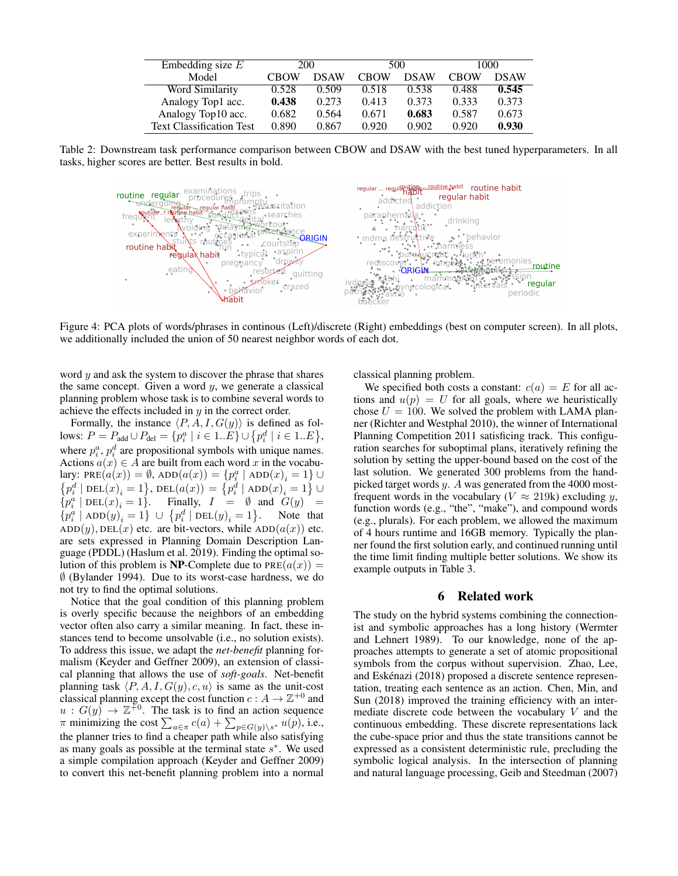| Embedding size $E$              | 200   |             | 500         |       | 1000        |             |
|---------------------------------|-------|-------------|-------------|-------|-------------|-------------|
| Model                           | CBOW  | <b>DSAW</b> | <b>CBOW</b> | DSAW  | <b>CBOW</b> | <b>DSAW</b> |
| Word Similarity                 | 0.528 | 0.509       | 0.518       | 0.538 | 0.488       | 0.545       |
| Analogy Top1 acc.               | 0.438 | 0.273       | 0.413       | 0.373 | 0.333       | 0.373       |
| Analogy Top10 acc.              | 0.682 | 0.564       | 0.671       | 0.683 | 0.587       | 0.673       |
| <b>Text Classification Test</b> | 0.890 | 0.867       | 0.920       | 0.902 | 0.920       | 0.930       |

Table 2: Downstream task performance comparison between CBOW and DSAW with the best tuned hyperparameters. In all tasks, higher scores are better. Best results in bold.



Figure 4: PCA plots of words/phrases in continous (Left)/discrete (Right) embeddings (best on computer screen). In all plots, we additionally included the union of 50 nearest neighbor words of each dot.

word  $y$  and ask the system to discover the phrase that shares the same concept. Given a word  $y$ , we generate a classical planning problem whose task is to combine several words to achieve the effects included in y in the correct order.

Formally, the instance  $\langle P, A, I, G(y) \rangle$  is defined as follows:  $P = P_{\text{add}} \cup P_{\text{del}} = \{p_i^a \mid i \in 1..E\} \cup \{p_i^d \mid i \in 1..E\},\$ where  $p_i^a$ ,  $p_i^d$  are propositional symbols with unique names. Actions  $a(x) \in A$  are built from each word x in the vocabulary: PRE $(a(x)) = \emptyset$ , ADD $(a(x)) = \{p_i^a \mid \text{ADD}(x)_i = 1\} \cup$  $\left\{p_i^d \mid \text{DEL}(x)_i = 1\right\}$ ,  $\text{DEL}(a(x)) = \left\{p_i^d \mid \text{ADD}(x)_i = 1\right\}$  $\cup$  $\{p_i^a \mid \text{DEL}(x)_i = 1\}.$  Finally,  $I = \emptyset$  and  $G(y) =$  $\left\{p_i^a \mid \mathrm{ADD}(y)_i = 1 \right\} \ \cup \ \left\{p_i^d \mid \mathrm{DEL}(y)_i = 1 \right\}$ Note that  $ADD(y), DEL(x)$  etc. are bit-vectors, while  $ADD(a(x))$  etc. are sets expressed in Planning Domain Description Language (PDDL) (Haslum et al. 2019). Finding the optimal solution of this problem is NP-Complete due to  $PRE(a(x)) =$ ∅ (Bylander 1994). Due to its worst-case hardness, we do not try to find the optimal solutions.

Notice that the goal condition of this planning problem is overly specific because the neighbors of an embedding vector often also carry a similar meaning. In fact, these instances tend to become unsolvable (i.e., no solution exists). To address this issue, we adapt the *net-benefit* planning formalism (Keyder and Geffner 2009), an extension of classical planning that allows the use of *soft-goals*. Net-benefit planning task  $\langle P, A, I, G(y), c, u \rangle$  is same as the unit-cost classical planning except the cost function  $c: A \to \mathbb{Z}^{+0}$  and  $u: G(y) \to \mathbb{Z}^{+0}$ . The task is to find an action sequence  $\pi$  minimizing the cost  $\sum_{a \in \pi} c(a) + \sum_{p \in G(y) \setminus s^*} u(p)$ , i.e., the planner tries to find a cheaper path while also satisfying as many goals as possible at the terminal state  $s^*$ . We used a simple compilation approach (Keyder and Geffner 2009) to convert this net-benefit planning problem into a normal classical planning problem.

We specified both costs a constant:  $c(a) = E$  for all actions and  $u(p) = U$  for all goals, where we heuristically chose  $U = 100$ . We solved the problem with LAMA planner (Richter and Westphal 2010), the winner of International Planning Competition 2011 satisficing track. This configuration searches for suboptimal plans, iteratively refining the solution by setting the upper-bound based on the cost of the last solution. We generated 300 problems from the handpicked target words y. A was generated from the 4000 mostfrequent words in the vocabulary ( $V \approx 219$ k) excluding y, function words (e.g., "the", "make"), and compound words (e.g., plurals). For each problem, we allowed the maximum of 4 hours runtime and 16GB memory. Typically the planner found the first solution early, and continued running until the time limit finding multiple better solutions. We show its example outputs in Table 3.

# 6 Related work

The study on the hybrid systems combining the connectionist and symbolic approaches has a long history (Wermter and Lehnert 1989). To our knowledge, none of the approaches attempts to generate a set of atomic propositional symbols from the corpus without supervision. Zhao, Lee, and Eskénazi (2018) proposed a discrete sentence representation, treating each sentence as an action. Chen, Min, and Sun (2018) improved the training efficiency with an intermediate discrete code between the vocabulary V and the continuous embedding. These discrete representations lack the cube-space prior and thus the state transitions cannot be expressed as a consistent deterministic rule, precluding the symbolic logical analysis. In the intersection of planning and natural language processing, Geib and Steedman (2007)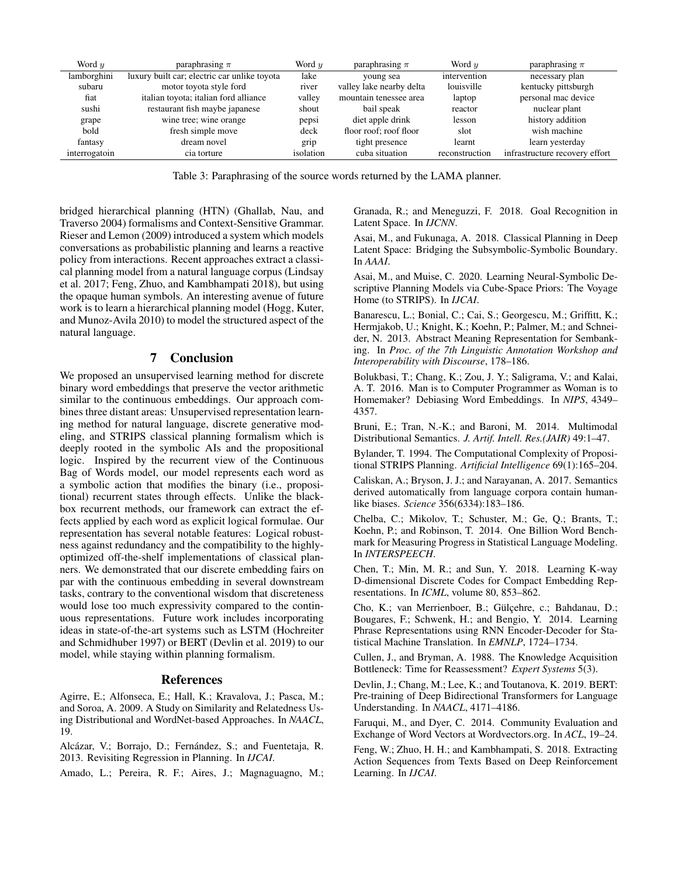| Word $\boldsymbol{\eta}$ | paraphrasing $\pi$                           | Word u    | paraphrasing $\pi$       | Word $\boldsymbol{\eta}$ | paraphrasing $\pi$             |
|--------------------------|----------------------------------------------|-----------|--------------------------|--------------------------|--------------------------------|
| lamborghini              | luxury built car; electric car unlike toyota | lake      | young sea                | intervention             | necessary plan                 |
| subaru                   | motor toyota style ford                      | river     | valley lake nearby delta | louisville               | kentucky pittsburgh            |
| fiat                     | italian toyota; italian ford alliance        | valley    | mountain tenessee area   | laptop                   | personal mac device            |
| sushi                    | restaurant fish maybe japanese               | shout     | bail speak               | reactor                  | nuclear plant                  |
| grape                    | wine tree; wine orange                       | pepsi     | diet apple drink         | lesson                   | history addition               |
| bold                     | fresh simple move                            | deck      | floor roof: roof floor   | slot                     | wish machine                   |
| fantasy                  | dream novel                                  | grip      | tight presence           | learnt                   | learn yesterday                |
| interrogatoin            | cia torture                                  | isolation | cuba situation           | reconstruction           | infrastructure recovery effort |

Table 3: Paraphrasing of the source words returned by the LAMA planner.

bridged hierarchical planning (HTN) (Ghallab, Nau, and Traverso 2004) formalisms and Context-Sensitive Grammar. Rieser and Lemon (2009) introduced a system which models conversations as probabilistic planning and learns a reactive policy from interactions. Recent approaches extract a classical planning model from a natural language corpus (Lindsay et al. 2017; Feng, Zhuo, and Kambhampati 2018), but using the opaque human symbols. An interesting avenue of future work is to learn a hierarchical planning model (Hogg, Kuter, and Munoz-Avila 2010) to model the structured aspect of the natural language.

## 7 Conclusion

We proposed an unsupervised learning method for discrete binary word embeddings that preserve the vector arithmetic similar to the continuous embeddings. Our approach combines three distant areas: Unsupervised representation learning method for natural language, discrete generative modeling, and STRIPS classical planning formalism which is deeply rooted in the symbolic AIs and the propositional logic. Inspired by the recurrent view of the Continuous Bag of Words model, our model represents each word as a symbolic action that modifies the binary (i.e., propositional) recurrent states through effects. Unlike the blackbox recurrent methods, our framework can extract the effects applied by each word as explicit logical formulae. Our representation has several notable features: Logical robustness against redundancy and the compatibility to the highlyoptimized off-the-shelf implementations of classical planners. We demonstrated that our discrete embedding fairs on par with the continuous embedding in several downstream tasks, contrary to the conventional wisdom that discreteness would lose too much expressivity compared to the continuous representations. Future work includes incorporating ideas in state-of-the-art systems such as LSTM (Hochreiter and Schmidhuber 1997) or BERT (Devlin et al. 2019) to our model, while staying within planning formalism.

## References

Agirre, E.; Alfonseca, E.; Hall, K.; Kravalova, J.; Pasca, M.; and Soroa, A. 2009. A Study on Similarity and Relatedness Using Distributional and WordNet-based Approaches. In *NAACL*, 19.

Alcázar, V.; Borrajo, D.; Fernández, S.; and Fuentetaja, R. 2013. Revisiting Regression in Planning. In *IJCAI*.

Amado, L.; Pereira, R. F.; Aires, J.; Magnaguagno, M.;

Granada, R.; and Meneguzzi, F. 2018. Goal Recognition in Latent Space. In *IJCNN*.

Asai, M., and Fukunaga, A. 2018. Classical Planning in Deep Latent Space: Bridging the Subsymbolic-Symbolic Boundary. In *AAAI*.

Asai, M., and Muise, C. 2020. Learning Neural-Symbolic Descriptive Planning Models via Cube-Space Priors: The Voyage Home (to STRIPS). In *IJCAI*.

Banarescu, L.; Bonial, C.; Cai, S.; Georgescu, M.; Griffitt, K.; Hermjakob, U.; Knight, K.; Koehn, P.; Palmer, M.; and Schneider, N. 2013. Abstract Meaning Representation for Sembanking. In *Proc. of the 7th Linguistic Annotation Workshop and Interoperability with Discourse*, 178–186.

Bolukbasi, T.; Chang, K.; Zou, J. Y.; Saligrama, V.; and Kalai, A. T. 2016. Man is to Computer Programmer as Woman is to Homemaker? Debiasing Word Embeddings. In *NIPS*, 4349– 4357.

Bruni, E.; Tran, N.-K.; and Baroni, M. 2014. Multimodal Distributional Semantics. *J. Artif. Intell. Res.(JAIR)* 49:1–47.

Bylander, T. 1994. The Computational Complexity of Propositional STRIPS Planning. *Artificial Intelligence* 69(1):165–204.

Caliskan, A.; Bryson, J. J.; and Narayanan, A. 2017. Semantics derived automatically from language corpora contain humanlike biases. *Science* 356(6334):183–186.

Chelba, C.; Mikolov, T.; Schuster, M.; Ge, Q.; Brants, T.; Koehn, P.; and Robinson, T. 2014. One Billion Word Benchmark for Measuring Progress in Statistical Language Modeling. In *INTERSPEECH*.

Chen, T.; Min, M. R.; and Sun, Y. 2018. Learning K-way D-dimensional Discrete Codes for Compact Embedding Representations. In *ICML*, volume 80, 853–862.

Cho, K.; van Merrienboer, B.; Gülçehre, c.; Bahdanau, D.; Bougares, F.; Schwenk, H.; and Bengio, Y. 2014. Learning Phrase Representations using RNN Encoder-Decoder for Statistical Machine Translation. In *EMNLP*, 1724–1734.

Cullen, J., and Bryman, A. 1988. The Knowledge Acquisition Bottleneck: Time for Reassessment? *Expert Systems* 5(3).

Devlin, J.; Chang, M.; Lee, K.; and Toutanova, K. 2019. BERT: Pre-training of Deep Bidirectional Transformers for Language Understanding. In *NAACL*, 4171–4186.

Faruqui, M., and Dyer, C. 2014. Community Evaluation and Exchange of Word Vectors at Wordvectors.org. In *ACL*, 19–24.

Feng, W.; Zhuo, H. H.; and Kambhampati, S. 2018. Extracting Action Sequences from Texts Based on Deep Reinforcement Learning. In *IJCAI*.